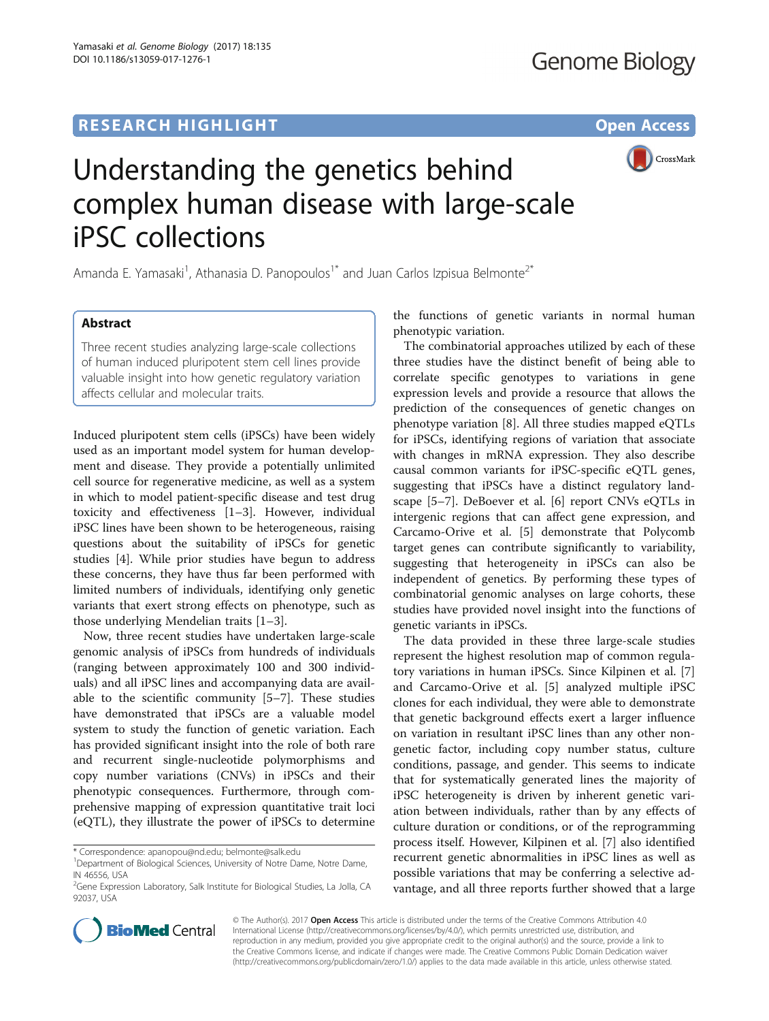## **RESEARCH HIGHLIGHT CONSUMING THE OPEN ACCESS**



# Understanding the genetics behind complex human disease with large-scale iPSC collections

Amanda E. Yamasaki<sup>1</sup>, Athanasia D. Panopoulos<sup>1\*</sup> and Juan Carlos Izpisua Belmonte<sup>2\*</sup>

## Abstract

Three recent studies analyzing large-scale collections of human induced pluripotent stem cell lines provide valuable insight into how genetic regulatory variation affects cellular and molecular traits.

Induced pluripotent stem cells (iPSCs) have been widely used as an important model system for human development and disease. They provide a potentially unlimited cell source for regenerative medicine, as well as a system in which to model patient-specific disease and test drug toxicity and effectiveness [\[1](#page-2-0)–[3\]](#page-2-0). However, individual iPSC lines have been shown to be heterogeneous, raising questions about the suitability of iPSCs for genetic studies [[4\]](#page-2-0). While prior studies have begun to address these concerns, they have thus far been performed with limited numbers of individuals, identifying only genetic variants that exert strong effects on phenotype, such as those underlying Mendelian traits [\[1](#page-2-0)–[3](#page-2-0)].

Now, three recent studies have undertaken large-scale genomic analysis of iPSCs from hundreds of individuals (ranging between approximately 100 and 300 individuals) and all iPSC lines and accompanying data are available to the scientific community [\[5](#page-2-0)–[7](#page-2-0)]. These studies have demonstrated that iPSCs are a valuable model system to study the function of genetic variation. Each has provided significant insight into the role of both rare and recurrent single-nucleotide polymorphisms and copy number variations (CNVs) in iPSCs and their phenotypic consequences. Furthermore, through comprehensive mapping of expression quantitative trait loci (eQTL), they illustrate the power of iPSCs to determine

the functions of genetic variants in normal human phenotypic variation.

The combinatorial approaches utilized by each of these three studies have the distinct benefit of being able to correlate specific genotypes to variations in gene expression levels and provide a resource that allows the prediction of the consequences of genetic changes on phenotype variation [\[8](#page-2-0)]. All three studies mapped eQTLs for iPSCs, identifying regions of variation that associate with changes in mRNA expression. They also describe causal common variants for iPSC-specific eQTL genes, suggesting that iPSCs have a distinct regulatory landscape [[5](#page-2-0)–[7\]](#page-2-0). DeBoever et al. [[6\]](#page-2-0) report CNVs eQTLs in intergenic regions that can affect gene expression, and Carcamo-Orive et al. [\[5](#page-2-0)] demonstrate that Polycomb target genes can contribute significantly to variability, suggesting that heterogeneity in iPSCs can also be independent of genetics. By performing these types of combinatorial genomic analyses on large cohorts, these studies have provided novel insight into the functions of genetic variants in iPSCs.

The data provided in these three large-scale studies represent the highest resolution map of common regulatory variations in human iPSCs. Since Kilpinen et al. [\[7](#page-2-0)] and Carcamo-Orive et al. [\[5\]](#page-2-0) analyzed multiple iPSC clones for each individual, they were able to demonstrate that genetic background effects exert a larger influence on variation in resultant iPSC lines than any other nongenetic factor, including copy number status, culture conditions, passage, and gender. This seems to indicate that for systematically generated lines the majority of iPSC heterogeneity is driven by inherent genetic variation between individuals, rather than by any effects of culture duration or conditions, or of the reprogramming process itself. However, Kilpinen et al. [[7](#page-2-0)] also identified recurrent genetic abnormalities in iPSC lines as well as possible variations that may be conferring a selective advantage, and all three reports further showed that a large



© The Author(s). 2017 **Open Access** This article is distributed under the terms of the Creative Commons Attribution 4.0 International License [\(http://creativecommons.org/licenses/by/4.0/](http://creativecommons.org/licenses/by/4.0/)), which permits unrestricted use, distribution, and reproduction in any medium, provided you give appropriate credit to the original author(s) and the source, provide a link to the Creative Commons license, and indicate if changes were made. The Creative Commons Public Domain Dedication waiver [\(http://creativecommons.org/publicdomain/zero/1.0/](http://creativecommons.org/publicdomain/zero/1.0/)) applies to the data made available in this article, unless otherwise stated.

<sup>\*</sup> Correspondence: [apanopou@nd.edu](mailto:apanopou@nd.edu); [belmonte@salk.edu](mailto:belmonte@salk.edu) <sup>1</sup>

<sup>&</sup>lt;sup>1</sup>Department of Biological Sciences, University of Notre Dame, Notre Dame, IN 46556, USA

<sup>&</sup>lt;sup>2</sup>Gene Expression Laboratory, Salk Institute for Biological Studies, La Jolla, CA 92037, USA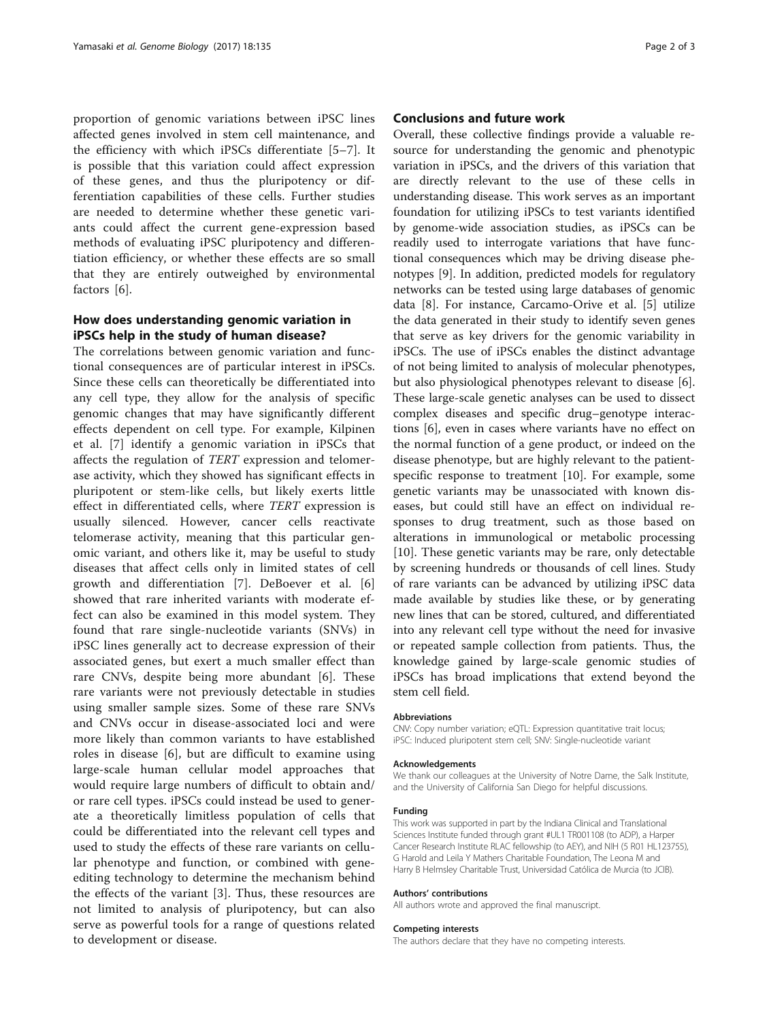proportion of genomic variations between iPSC lines affected genes involved in stem cell maintenance, and the efficiency with which iPSCs differentiate [[5](#page-2-0)–[7\]](#page-2-0). It is possible that this variation could affect expression of these genes, and thus the pluripotency or differentiation capabilities of these cells. Further studies are needed to determine whether these genetic variants could affect the current gene-expression based methods of evaluating iPSC pluripotency and differentiation efficiency, or whether these effects are so small that they are entirely outweighed by environmental factors [[6\]](#page-2-0).

## How does understanding genomic variation in iPSCs help in the study of human disease?

The correlations between genomic variation and functional consequences are of particular interest in iPSCs. Since these cells can theoretically be differentiated into any cell type, they allow for the analysis of specific genomic changes that may have significantly different effects dependent on cell type. For example, Kilpinen et al. [[7\]](#page-2-0) identify a genomic variation in iPSCs that affects the regulation of TERT expression and telomerase activity, which they showed has significant effects in pluripotent or stem-like cells, but likely exerts little effect in differentiated cells, where TERT expression is usually silenced. However, cancer cells reactivate telomerase activity, meaning that this particular genomic variant, and others like it, may be useful to study diseases that affect cells only in limited states of cell growth and differentiation [\[7](#page-2-0)]. DeBoever et al. [\[6](#page-2-0)] showed that rare inherited variants with moderate effect can also be examined in this model system. They found that rare single-nucleotide variants (SNVs) in iPSC lines generally act to decrease expression of their associated genes, but exert a much smaller effect than rare CNVs, despite being more abundant [[6\]](#page-2-0). These rare variants were not previously detectable in studies using smaller sample sizes. Some of these rare SNVs and CNVs occur in disease-associated loci and were more likely than common variants to have established roles in disease [[6](#page-2-0)], but are difficult to examine using large-scale human cellular model approaches that would require large numbers of difficult to obtain and/ or rare cell types. iPSCs could instead be used to generate a theoretically limitless population of cells that could be differentiated into the relevant cell types and used to study the effects of these rare variants on cellular phenotype and function, or combined with geneediting technology to determine the mechanism behind the effects of the variant [\[3](#page-2-0)]. Thus, these resources are not limited to analysis of pluripotency, but can also serve as powerful tools for a range of questions related to development or disease.

### Conclusions and future work

Overall, these collective findings provide a valuable resource for understanding the genomic and phenotypic variation in iPSCs, and the drivers of this variation that are directly relevant to the use of these cells in understanding disease. This work serves as an important foundation for utilizing iPSCs to test variants identified by genome-wide association studies, as iPSCs can be readily used to interrogate variations that have functional consequences which may be driving disease phenotypes [[9\]](#page-2-0). In addition, predicted models for regulatory networks can be tested using large databases of genomic data [[8\]](#page-2-0). For instance, Carcamo-Orive et al. [[5\]](#page-2-0) utilize the data generated in their study to identify seven genes that serve as key drivers for the genomic variability in iPSCs. The use of iPSCs enables the distinct advantage of not being limited to analysis of molecular phenotypes, but also physiological phenotypes relevant to disease [\[6](#page-2-0)]. These large-scale genetic analyses can be used to dissect complex diseases and specific drug–genotype interactions [\[6](#page-2-0)], even in cases where variants have no effect on the normal function of a gene product, or indeed on the disease phenotype, but are highly relevant to the patientspecific response to treatment [\[10\]](#page-2-0). For example, some genetic variants may be unassociated with known diseases, but could still have an effect on individual responses to drug treatment, such as those based on alterations in immunological or metabolic processing [[10\]](#page-2-0). These genetic variants may be rare, only detectable by screening hundreds or thousands of cell lines. Study of rare variants can be advanced by utilizing iPSC data made available by studies like these, or by generating new lines that can be stored, cultured, and differentiated into any relevant cell type without the need for invasive or repeated sample collection from patients. Thus, the knowledge gained by large-scale genomic studies of iPSCs has broad implications that extend beyond the stem cell field.

#### Abbreviations

CNV: Copy number variation; eQTL: Expression quantitative trait locus; iPSC: Induced pluripotent stem cell; SNV: Single-nucleotide variant

#### Acknowledgements

We thank our colleagues at the University of Notre Dame, the Salk Institute, and the University of California San Diego for helpful discussions.

#### Funding

This work was supported in part by the Indiana Clinical and Translational Sciences Institute funded through grant #UL1 TR001108 (to ADP), a Harper Cancer Research Institute RLAC fellowship (to AEY), and NIH (5 R01 HL123755), G Harold and Leila Y Mathers Charitable Foundation, The Leona M and Harry B Helmsley Charitable Trust, Universidad Católica de Murcia (to JCIB).

#### Authors' contributions

All authors wrote and approved the final manuscript.

#### Competing interests

The authors declare that they have no competing interests.